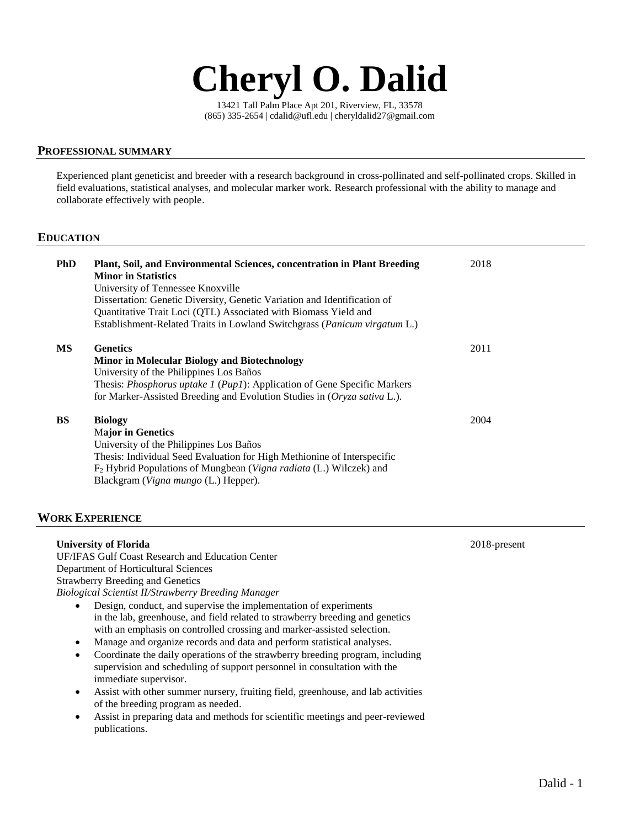

13421 Tall Palm Place Apt 201, Riverview, FL, 33578 (865) 335-2654 | cdalid@ufl.edu | cheryldalid27@gmail.com

# **PROFESSIONAL SUMMARY**

Experienced plant geneticist and breeder with a research background in cross-pollinated and self-pollinated crops. Skilled in field evaluations, statistical analyses, and molecular marker work. Research professional with the ability to manage and collaborate effectively with people.

# **EDUCATION**

| <b>PhD</b> | <b>Plant, Soil, and Environmental Sciences, concentration in Plant Breeding</b><br><b>Minor in Statistics</b><br>University of Tennessee Knoxville<br>Dissertation: Genetic Diversity, Genetic Variation and Identification of<br>Quantitative Trait Loci (QTL) Associated with Biomass Yield and<br>Establishment-Related Traits in Lowland Switchgrass ( <i>Panicum virgatum L.</i> ) | 2018 |
|------------|-----------------------------------------------------------------------------------------------------------------------------------------------------------------------------------------------------------------------------------------------------------------------------------------------------------------------------------------------------------------------------------------|------|
| MS         | <b>Genetics</b><br><b>Minor in Molecular Biology and Biotechnology</b><br>University of the Philippines Los Baños<br>Thesis: <i>Phosphorus uptake 1 (Pup1)</i> : Application of Gene Specific Markers<br>for Marker-Assisted Breeding and Evolution Studies in (Oryza sativa L.).                                                                                                       | 2011 |
| <b>BS</b>  | <b>Biology</b><br><b>Major in Genetics</b><br>University of the Philippines Los Baños<br>Thesis: Individual Seed Evaluation for High Methionine of Interspecific<br>F <sub>2</sub> Hybrid Populations of Mungbean ( <i>Vigna radiata</i> (L.) Wilczek) and<br>Blackgram (Vigna mungo (L.) Hepper).                                                                                      | 2004 |

# **WORK EXPERIENCE**

| <b>University of Florida</b>                                                                         | 2018-present |  |  |  |
|------------------------------------------------------------------------------------------------------|--------------|--|--|--|
| <b>UF/IFAS Gulf Coast Research and Education Center</b>                                              |              |  |  |  |
| Department of Horticultural Sciences                                                                 |              |  |  |  |
| <b>Strawberry Breeding and Genetics</b>                                                              |              |  |  |  |
| Biological Scientist II/Strawberry Breeding Manager                                                  |              |  |  |  |
| Design, conduct, and supervise the implementation of experiments<br>٠                                |              |  |  |  |
| in the lab, greenhouse, and field related to strawberry breeding and genetics                        |              |  |  |  |
| with an emphasis on controlled crossing and marker-assisted selection.                               |              |  |  |  |
| Manage and organize records and data and perform statistical analyses.<br>$\bullet$                  |              |  |  |  |
| Coordinate the daily operations of the strawberry breeding program, including<br>٠                   |              |  |  |  |
| supervision and scheduling of support personnel in consultation with the                             |              |  |  |  |
| immediate supervisor.                                                                                |              |  |  |  |
| Assist with other summer nursery, fruiting field, greenhouse, and lab activities<br>٠                |              |  |  |  |
| of the breeding program as needed.                                                                   |              |  |  |  |
| Assist in preparing data and methods for scientific meetings and peer-reviewed<br>٠<br>publications. |              |  |  |  |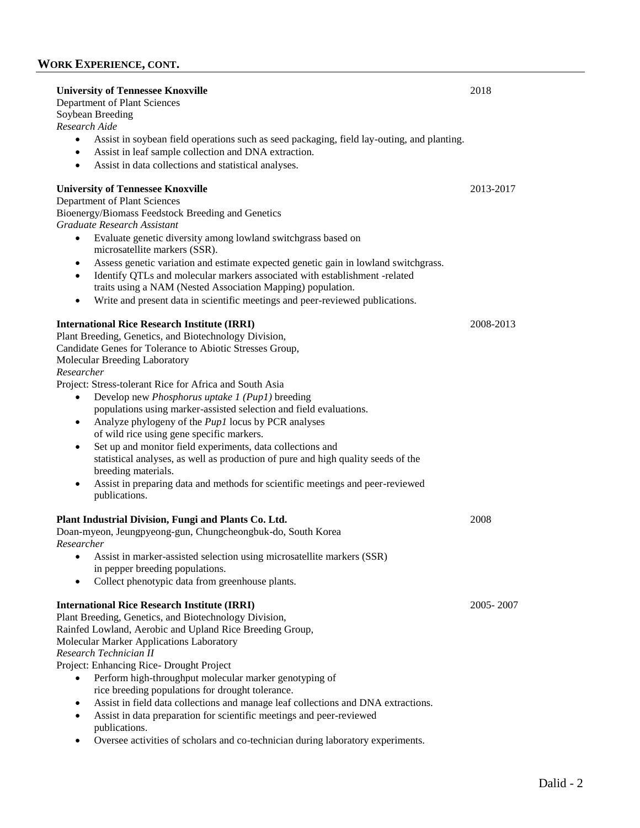# **WORK EXPERIENCE, CONT.**

| <b>University of Tennessee Knoxville</b><br>2018<br>Department of Plant Sciences<br>Soybean Breeding                                                                                                                                                                                                                                                                                                                                                                                                                                                                                                                                                                                                                                                                                                                                       |           |
|--------------------------------------------------------------------------------------------------------------------------------------------------------------------------------------------------------------------------------------------------------------------------------------------------------------------------------------------------------------------------------------------------------------------------------------------------------------------------------------------------------------------------------------------------------------------------------------------------------------------------------------------------------------------------------------------------------------------------------------------------------------------------------------------------------------------------------------------|-----------|
| Research Aide<br>Assist in soybean field operations such as seed packaging, field lay-outing, and planting.<br>$\bullet$<br>Assist in leaf sample collection and DNA extraction.<br>$\bullet$<br>Assist in data collections and statistical analyses.<br>$\bullet$                                                                                                                                                                                                                                                                                                                                                                                                                                                                                                                                                                         |           |
| <b>University of Tennessee Knoxville</b><br>Department of Plant Sciences<br>Bioenergy/Biomass Feedstock Breeding and Genetics<br>Graduate Research Assistant<br>Evaluate genetic diversity among lowland switchgrass based on<br>$\bullet$<br>microsatellite markers (SSR).<br>Assess genetic variation and estimate expected genetic gain in lowland switchgrass.<br>$\bullet$<br>Identify QTLs and molecular markers associated with establishment -related<br>$\bullet$<br>traits using a NAM (Nested Association Mapping) population.<br>Write and present data in scientific meetings and peer-reviewed publications.<br>$\bullet$                                                                                                                                                                                                    | 2013-2017 |
| <b>International Rice Research Institute (IRRI)</b><br>Plant Breeding, Genetics, and Biotechnology Division,<br>Candidate Genes for Tolerance to Abiotic Stresses Group,<br>Molecular Breeding Laboratory<br>Researcher<br>Project: Stress-tolerant Rice for Africa and South Asia<br>Develop new Phosphorus uptake 1 (Pup1) breeding<br>populations using marker-assisted selection and field evaluations.<br>Analyze phylogeny of the <i>Pup1</i> locus by PCR analyses<br>$\bullet$<br>of wild rice using gene specific markers.<br>Set up and monitor field experiments, data collections and<br>$\bullet$<br>statistical analyses, as well as production of pure and high quality seeds of the<br>breeding materials.<br>Assist in preparing data and methods for scientific meetings and peer-reviewed<br>$\bullet$<br>publications. | 2008-2013 |
| Plant Industrial Division, Fungi and Plants Co. Ltd.<br>Doan-myeon, Jeungpyeong-gun, Chungcheongbuk-do, South Korea<br>Researcher<br>Assist in marker-assisted selection using microsatellite markers (SSR)<br>$\bullet$<br>in pepper breeding populations.<br>Collect phenotypic data from greenhouse plants.<br>٠                                                                                                                                                                                                                                                                                                                                                                                                                                                                                                                        | 2008      |
| <b>International Rice Research Institute (IRRI)</b><br>Plant Breeding, Genetics, and Biotechnology Division,<br>Rainfed Lowland, Aerobic and Upland Rice Breeding Group,<br>Molecular Marker Applications Laboratory<br>Research Technician II<br>Project: Enhancing Rice- Drought Project<br>Perform high-throughput molecular marker genotyping of<br>rice breeding populations for drought tolerance.<br>Assist in field data collections and manage leaf collections and DNA extractions.<br>٠<br>Assist in data preparation for scientific meetings and peer-reviewed<br>٠<br>publications.<br>Oversee activities of scholars and co-technician during laboratory experiments.                                                                                                                                                        | 2005-2007 |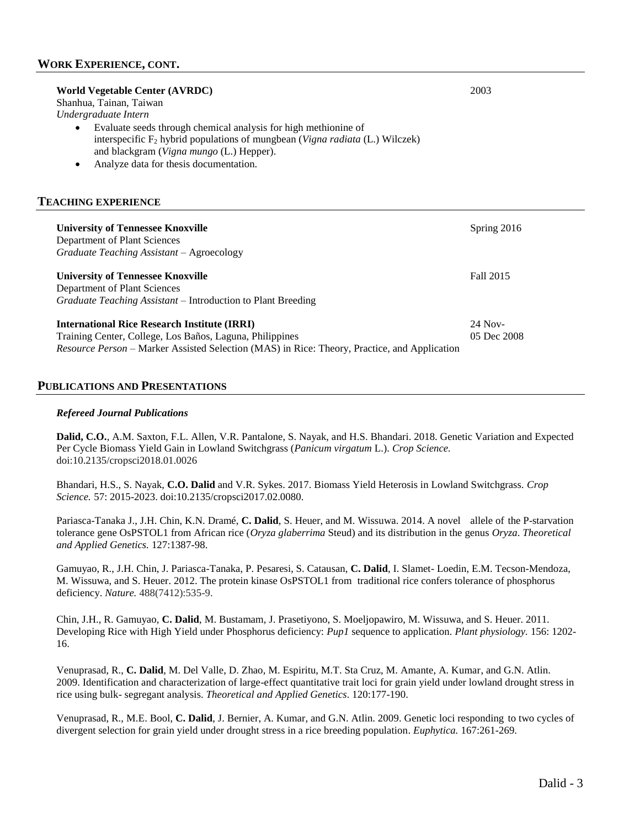| World Vegetable Center (AVRDC)<br>Shanhua, Tainan, Taiwan                                                                                                                                                                                                                                          | 2003 |
|----------------------------------------------------------------------------------------------------------------------------------------------------------------------------------------------------------------------------------------------------------------------------------------------------|------|
|                                                                                                                                                                                                                                                                                                    |      |
| Undergraduate Intern<br>Evaluate seeds through chemical analysis for high methionine of<br>$\bullet$<br>interspecific $F_2$ hybrid populations of mungbean ( <i>Vigna radiata</i> (L.) Wilczek)<br>and blackgram (Vigna mungo (L.) Hepper).<br>Analyze data for thesis documentation.<br>$\bullet$ |      |
| <b>TEACHING EXPERIENCE</b>                                                                                                                                                                                                                                                                         |      |

| <b>University of Tennessee Knoxville</b><br>Department of Plant Sciences                            | Spring 2016 |
|-----------------------------------------------------------------------------------------------------|-------------|
| Graduate Teaching Assistant - Agroecology<br><b>University of Tennessee Knoxville</b>               | Fall 2015   |
| Department of Plant Sciences<br><i>Graduate Teaching Assistant</i> – Introduction to Plant Breeding |             |
| International Rice Research Institute (IRRI)                                                        | $24$ Nov-   |
| Training Center, College, Los Baños, Laguna, Philippines                                            | 05 Dec 2008 |
| <i>Resource Person</i> – Marker Assisted Selection (MAS) in Rice: Theory, Practice, and Application |             |

#### **PUBLICATIONS AND PRESENTATIONS**

#### *Refereed Journal Publications*

**Dalid, C.O.**, A.M. Saxton, F.L. Allen, V.R. Pantalone, S. Nayak, and H.S. Bhandari. 2018. Genetic Variation and Expected Per Cycle Biomass Yield Gain in Lowland Switchgrass (*Panicum virgatum* L.). *Crop Science.* doi:10.2135/cropsci2018.01.0026

Bhandari, H.S., S. Nayak, **C.O. Dalid** and V.R. Sykes. 2017. Biomass Yield Heterosis in Lowland Switchgrass. *Crop Science.* 57: 2015-2023. doi:10.2135/cropsci2017.02.0080.

Pariasca-Tanaka J., J.H. Chin, K.N. Dramé, **C. Dalid**, S. Heuer, and M. Wissuwa. 2014. A novel allele of the P-starvation tolerance gene OsPSTOL1 from African rice (*Oryza glaberrima* Steud) and its distribution in the genus *Oryza*. *Theoretical and Applied Genetics.* 127:1387-98.

Gamuyao, R., J.H. Chin, J. Pariasca-Tanaka, P. Pesaresi, S. Catausan, **C. Dalid**, I. Slamet- Loedin, E.M. Tecson-Mendoza, M. Wissuwa, and S. Heuer. 2012. The protein kinase OsPSTOL1 from traditional rice confers tolerance of phosphorus deficiency. *Nature.* 488(7412):535-9.

Chin, J.H., R. Gamuyao, **C. Dalid**, M. Bustamam, J. Prasetiyono, S. Moeljopawiro, M. Wissuwa, and S. Heuer. 2011. [Developing Rice with High Yield under Phosphorus deficiency:](http://www.mendeley.com/research/developing-rice-high-yield-under-phosphorus-deficiency-pup1-sequence-application-1-w-oa/) *Pup1* sequence to application. *Plant physiology.* 156: 1202- 16.

Venuprasad, R., **[C. Dalid](http://www.springerlink.com/content/?Author=C.+O.+Dalid)**, M. Del Valle, D. Zhao, M. Espiritu, M.T. Sta Cruz, M. Amante, A. Kumar, and G.N. Atlin. 2009. Identification and characterization of large-effect quantitative trait loci for grain yield under lowland drought stress in rice using bulk- segregant analysis. *Theoretical and Applied Genetics*. 120:177-190.

Venuprasad, R., [M.E. Bool,](http://www.springerlink.com/content/?Author=M.+E.+Bool) **[C. Dalid](http://www.springerlink.com/content/?Author=C.+O.+Dalid)**, [J. Bernier,](http://www.springerlink.com/content/?Author=J.+Bernier) [A. Kumar,](http://www.springerlink.com/content/?Author=A.+Kumar) and [G.N. Atlin.](http://www.springerlink.com/content/?Author=G.+N.+Atlin) 2009. [Genetic loci responding to two cycles of](http://www.mendeley.com/c/3982289903/p/5871903/venuprasad-2009-genetic-loci-responding-to-two-cycles-of-divergent-selection-for-grain-yield-under-drought-stress-in-a-rice-breeding-population/)  [divergent selection for grain yield under drought stress in a rice breeding population.](http://www.mendeley.com/c/3982289903/p/5871903/venuprasad-2009-genetic-loci-responding-to-two-cycles-of-divergent-selection-for-grain-yield-under-drought-stress-in-a-rice-breeding-population/) *Euphytica.* 167:261-269.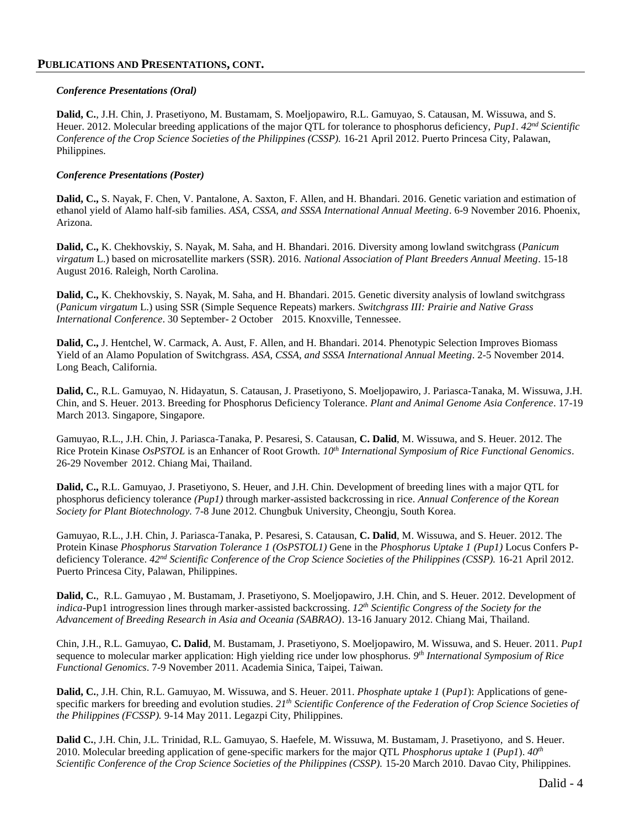# **PUBLICATIONS AND PRESENTATIONS, CONT.**

# *Conference Presentations (Oral)*

**Dalid, C.**, J.H. Chin, J. Prasetiyono, M. Bustamam, S. Moeljopawiro, R.L. Gamuyao, S. Catausan, M. Wissuwa, and S. Heuer. 2012. Molecular breeding applications of the major QTL for tolerance to phosphorus deficiency, *Pup1*. *42nd Scientific Conference of the Crop Science Societies of the Philippines (CSSP).* 16-21 April 2012. Puerto Princesa City, Palawan, Philippines.

# *Conference Presentations (Poster)*

**Dalid, C.,** S. Nayak, F. Chen, V. Pantalone, A. Saxton, F. Allen, and H. Bhandari. 2016. Genetic variation and estimation of ethanol yield of Alamo half-sib families. *ASA, CSSA, and SSSA International Annual Meeting*. 6-9 November 2016. Phoenix, Arizona.

**Dalid, C.,** K. Chekhovskiy, S. Nayak, M. Saha, and H. Bhandari. 2016. Diversity among lowland switchgrass (*Panicum virgatum* L.) based on microsatellite markers (SSR). 2016. *National Association of Plant Breeders Annual Meeting*. 15-18 August 2016. Raleigh, North Carolina.

**Dalid, C.,** K. Chekhovskiy, S. Nayak, M. Saha, and H. Bhandari. 2015. Genetic diversity analysis of lowland switchgrass (*Panicum virgatum* L.) using SSR (Simple Sequence Repeats) markers. *Switchgrass III: Prairie and Native Grass International Conference*. 30 September- 2 October 2015. Knoxville, Tennessee.

**Dalid, C.,** J. Hentchel, W. Carmack, A. Aust, F. Allen, and H. Bhandari. 2014. Phenotypic Selection Improves Biomass Yield of an Alamo Population of Switchgrass. *ASA, CSSA, and SSSA International Annual Meeting*. 2-5 November 2014. Long Beach, California.

**Dalid, C.**, R.L. Gamuyao, N. Hidayatun, S. Catausan, J. Prasetiyono, S. Moeljopawiro, J. Pariasca-Tanaka, M. Wissuwa, J.H. Chin, and S. Heuer. 2013. Breeding for Phosphorus Deficiency Tolerance. *Plant and Animal Genome Asia Conference*. 17-19 March 2013. Singapore, Singapore.

Gamuyao, R.L., J.H. Chin, J. Pariasca-Tanaka, P. Pesaresi, S. Catausan, **C. Dalid**, M. Wissuwa, and S. Heuer. 2012. The Rice Protein Kinase *OsPSTOL* is an Enhancer of Root Growth. *10th International Symposium of Rice Functional Genomics*. 26-29 November 2012. Chiang Mai, Thailand.

**Dalid, C.,** R.L. Gamuyao, J. Prasetiyono, S. Heuer, and J.H. Chin. Development of breeding lines with a major QTL for phosphorus deficiency tolerance *(Pup1)* through marker-assisted backcrossing in rice. *Annual Conference of the Korean Society for Plant Biotechnology.* 7-8 June 2012. Chungbuk University, Cheongju, South Korea.

Gamuyao, R.L., J.H. Chin, J. Pariasca-Tanaka, P. Pesaresi, S. Catausan, **C. Dalid**, M. Wissuwa, and S. Heuer. 2012. The Protein Kinase *Phosphorus Starvation Tolerance 1 (OsPSTOL1)* Gene in the *Phosphorus Uptake 1 (Pup1)* Locus Confers Pdeficiency Tolerance. *42nd Scientific Conference of the Crop Science Societies of the Philippines (CSSP).* 16-21 April 2012. Puerto Princesa City, Palawan, Philippines.

**Dalid, C.**, R.L. Gamuyao , M. Bustamam, J. Prasetiyono, S. Moeljopawiro, J.H. Chin, and S. Heuer. 2012. Development of *indica*-Pup1 introgression lines through marker-assisted backcrossing. *12th Scientific Congress of the Society for the Advancement of Breeding Research in Asia and Oceania (SABRAO)*. 13-16 January 2012. Chiang Mai, Thailand.

Chin, J.H., R.L. Gamuyao, **C. Dalid**, M. Bustamam, J. Prasetiyono, S. Moeljopawiro, M. Wissuwa, and S. Heuer. 2011. *Pup1* sequence to molecular marker application: High yielding rice under low phosphorus. *9 th International Symposium of Rice Functional Genomics*. 7-9 November 2011. Academia Sinica, Taipei, Taiwan.

**Dalid, C.**, J.H. Chin, R.L. Gamuyao, M. Wissuwa, and S. Heuer. 2011. *Phosphate uptake 1* (*Pup1*): Applications of genespecific markers for breeding and evolution studies. *21th Scientific Conference of the Federation of Crop Science Societies of the Philippines (FCSSP).* 9-14 May 2011. Legazpi City, Philippines.

**Dalid C.**, J.H. Chin, J.L. Trinidad, R.L. Gamuyao, S. Haefele, M. Wissuwa, M. Bustamam, J. Prasetiyono, and S. Heuer. 2010. Molecular breeding application of gene-specific markers for the major QTL *Phosphorus uptake 1* (*Pup1*). *40th Scientific Conference of the Crop Science Societies of the Philippines (CSSP).* 15-20 March 2010. Davao City, Philippines.